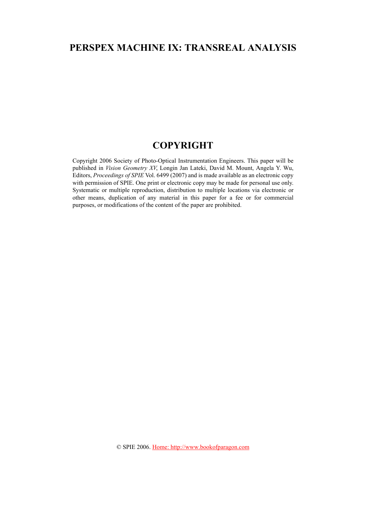# **PERSPEX MACHINE IX: TRANSREAL ANALYSIS**

## **COPYRIGHT**

Copyright 2006 Society of Photo-Optical Instrumentation Engineers. This paper will be published in *Vision Geometry XV*, Longin Jan Lateki, David M. Mount, Angela Y. Wu, Editors, *Proceedings of SPIE* Vol. 6499 (2007) and is made available as an electronic copy with permission of SPIE. One print or electronic copy may be made for personal use only. Systematic or multiple reproduction, distribution to multiple locations via electronic or other means, duplication of any material in this paper for a fee or for commercial purposes, or modifications of the content of the paper are prohibited.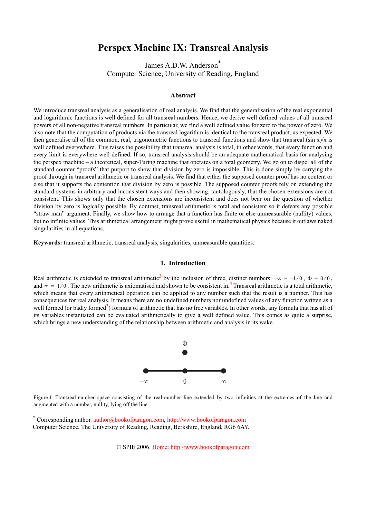## **Perspex Machine IX: Transreal Analysis**

James A.D.W. Anderson\* Computer Science, University of Reading, England

## **Abstract**

We introduce transreal analysis as a generalisation of real analysis. We find that the generalisation of the real exponential and logarithmic functions is well defined for all transreal numbers. Hence, we derive well defined values of all transreal powers of all non-negative transreal numbers. In particular, we find a well defined value for zero to the power of zero. We also note that the computation of products via the transreal logarithm is identical to the transreal product, as expected. We then generalise all of the common, real, trigonometric functions to transreal functions and show that transreal  $(\sin x)/x$  is well defined everywhere. This raises the possibility that transreal analysis is total, in other words, that every function and every limit is everywhere well defined. If so, transreal analysis should be an adequate mathematical basis for analysing the perspex machine – a theoretical, super-Turing machine that operates on a total geometry. We go on to dispel all of the standard counter "proofs" that purport to show that division by zero is impossible. This is done simply by carrying the proof through in transreal arithmetic or transreal analysis. We find that either the supposed counter proof has no content or else that it supports the contention that division by zero is possible. The supposed counter proofs rely on extending the standard systems in arbitrary and inconsistent ways and then showing, tautologously, that the chosen extensions are not consistent. This shows only that the chosen extensions are inconsistent and does not bear on the question of whether division by zero is logically possible. By contrast, transreal arithmetic is total and consistent so it defeats any possible "straw man" argument. Finally, we show how to arrange that a function has finite or else unmeasurable (nullity) values, but no infinite values. This arithmetical arrangement might prove useful in mathematical physics because it outlaws naked singularities in all equations.

**Keywords:** transreal arithmetic, transreal analysis, singularities, unmeasurable quantities.

## **1. Introduction**

Real arithmetic is extended to transreal arithmetic<sup>[3](#page-12-0)</sup> by the inclusion of three, distinct numbers:  $-\infty = -1/0$ ,  $\Phi = 0/0$ , and  $\infty = 1/0$ . The new arithmetic is axiomatised and shown to be consistent in.<sup>[4](#page-12-1)</sup> Transreal arithmetic is a total arithmetic, which means that every arithmetical operation can be applied to any number such that the result is a number. This has consequences for real analysis. It means there are no undefined numbers nor undefined values of any function written as a well formed (or badly formed<sup>[3](#page-12-0)</sup>) formula of arithmetic that has no free variables. In other words, any formula that has all of its variables instantiated can be evaluated arithmetically to give a well defined value. This comes as quite a surprise, which brings a new understanding of the relationship between arithmetic and analysis in its wake.



<span id="page-1-0"></span>Figure 1: Transreal-number space consisting of the real-number line extended by two infinities at the extremes of the line and augmented with a number, nullity, lying off the line.

\* Corresponding author. [author@bookofparagon.com,](mailto:author@bookofparagon.com) <http://www.bookofparagon.com> Computer Science, The University of Reading, Reading, Berkshire, England, RG6 6AY.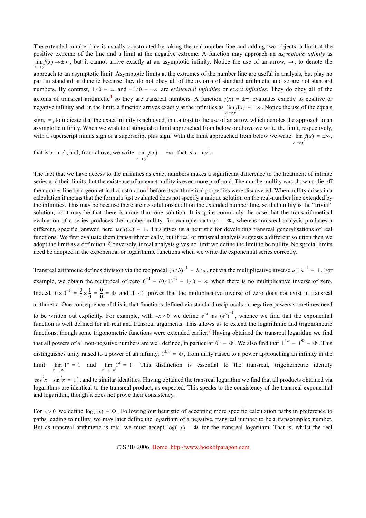The extended number-line is usually constructed by taking the real-number line and adding two objects: a limit at the positive extreme of the line and a limit at the negative extreme. A function may approach an *asymptotic infinity* as  $\lim_{x \to a} f(x) \to \pm \infty$ , but it cannot arrive exactly at an asymptotic infinity. Notice the use of an arrow,  $\to$ , to denote the  $x \rightarrow y$ 

approach to an asymptotic limit. Asymptotic limits at the extremes of the number line are useful in analysis, but play no part in standard arithmetic because they do not obey all of the axioms of standard arithmetic and so are not standard numbers. By contrast,  $1/0 = \infty$  and  $-1/0 = -\infty$  are *existential infinities* or *exact infinities*. They do obey all of the axioms of transreal arithmetic<sup>[4](#page-12-1)</sup> so they are transreal numbers. A function  $f(x) = \pm \infty$  evaluates exactly to positive or negative infinity and, in the limit, a function arrives exactly at the infinities as  $\lim_{x \to \infty} f(x) = \pm \infty$ . Notice the use of the equals  $x \rightarrow i$ 

sign,  $=$ , to indicate that the exact infinity is achieved, in contrast to the use of an arrow which denotes the approach to an asymptotic infinity. When we wish to distinguish a limit approached from below or above we write the limit, respectively, with a superscript minus sign or a superscript plus sign. With the limit approached from below we write  $\lim_{x \to \infty} f(x) = \pm \infty$ ,  $x \rightarrow y$ <sup>-</sup>

that is 
$$
x \to y^-
$$
, and, from above, we write  $\lim_{x \to y^+} f(x) = \pm \infty$ , that is  $x \to y^+$ .

The fact that we have access to the infinities as exact numbers makes a significant difference to the treatment of infinite series and their limits, but the existence of an exact nullity is even more profound. The number nullity was shown to lie off the number line by a geometrical construction<sup>[1](#page-12-3)</sup> before its arithmetical properties were discovered. When nullity arises in a calculation it means that the formula just evaluated does not specify a unique solution on the real-number line extended by the infinities. This may be because there are no solutions at all on the extended number line, so that nullity is the "trivial" solution, or it may be that there is more than one solution. It is quite commonly the case that the transarithmetical evaluation of a series produces the number nullity, for example  $tanh(\infty) = \Phi$ , whereas transreal analysis produces a different, specific, answer, here  $\tanh(\infty) = 1$ . This gives us a heuristic for developing transreal generalisations of real functions. We first evaluate them transarithmetically, but if real or transreal analysis suggests a different solution then we adopt the limit as a definition. Conversely, if real analysis gives no limit we define the limit to be nullity. No special limits need be adopted in the exponential or logarithmic functions when we write the exponential series correctly.

Transreal arithmetic defines division via the reciprocal  $(a/b)^{-1} = b/a$ , not via the multiplicative inverse  $a \times a^{-1} = 1$ . For example, we obtain the reciprocal of zero  $0^{-1} = (0/1)^{-1} = 1/0 = \infty$  when there is no multiplicative inverse of zero. Indeed,  $0 \times 0^{-1} = \frac{0}{1} \times \frac{1}{0} = \frac{0}{0} = \Phi$  and  $\Phi \neq 1$  proves that the multiplicative inverse of zero does not exist in transreal arithmetic. One consequence of this is that functions defined via standard reciprocals or negative powers sometimes need to be written out explicitly. For example, with  $-x < 0$  we define  $e^{-x}$  as  $(e^x)^{-1}$ , whence we find that the exponential function is well defined for all real and transreal arguments. This allows us to extend the logarithmic and trigonometric functions, though some trigonometric functions were extended earlier.<sup>2</sup> Having obtained the transreal logarithm we find that all powers of all non-negative numbers are well defined, in particular  $0^0 = \Phi$ . We also find that  $1^{\pm \infty} = 1^{\Phi} = \Phi$ . This distinguishes unity raised to a power of an infinity,  $1^{\pm \infty} = \Phi$ , from unity raised to a power approaching an infinity in the limit:  $\lim_{{x \to 1}} 1^x = 1$  and  $\lim_{{x \to 1}} 1^x = 1$ . This distinction is essential to the transreal, trigonometric identity  $\cos^2 x + \sin^2 x = 1^x$ , and to similar identities. Having obtained the transreal logarithm we find that all products obtained via logarithms are identical to the transreal product, as expected. This speaks to the consistency of the transreal exponential and logarithm, though it does not prove their consistency.  $\lim_{x \to \infty} 1^x = 1$  and  $\lim_{x \to \infty} 1^x = 1$ 

For  $x > 0$  we define  $log(-x) = \Phi$ . Following our heuristic of accepting more specific calculation paths in preference to paths leading to nullity, we may later define the logarithm of a negative, transreal number to be a transcomplex number. But as transreal arithmetic is total we must accept  $log(-x) = \Phi$  for the transreal logarithm. That is, whilst the real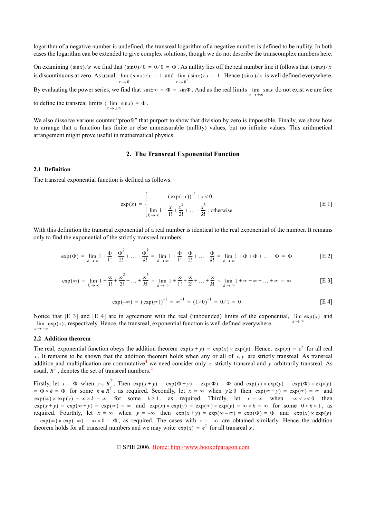logarithm of a negative number is undefined, the transreal logarithm of a negative number is defined to be nullity. In both cases the logarithm can be extended to give complex solutions, though we do not describe the transcomplex numbers here.

On examining  $(\sin x)/x$  we find that  $(\sin 0)/0 = 0/0 = \Phi$ . As nullity lies off the real number line it follows that  $(\sin x)/x$ is discontinuous at zero. As usual,  $\lim_{x \to a} (\sin x)/x = 1$  and  $\lim_{x \to a} (\sin x)/x = 1$ . Hence  $(\sin x)/x$  is well defined everywhere.  $x \rightarrow 0^$  $x \rightarrow 0^+$ 

By evaluating the power series, we find that  $\sin \pm \infty = \Phi = \sin \Phi$ . And as the real limits  $\lim_{x \to \pm \infty} \sin x$  do not exist we are free

to define the transreal limits  $\left(\lim_{x \to \pm \infty} \sin x\right) = \Phi$ .

We also dissolve various counter "proofs" that purport to show that division by zero is impossible. Finally, we show how to arrange that a function has finite or else unmeasurable (nullity) values, but no infinite values. This arithmetical arrangement might prove useful in mathematical physics.

## **2. The Transreal Exponential Function**

#### **2.1 Definition**

The transreal exponential function is defined as follows.

$$
\exp(x) = \begin{cases} (\exp(-x))^{-1} : x < 0 \\ \lim_{k \to \infty} 1 + \frac{x}{1!} + \frac{x^2}{2!} + \dots + \frac{x^k}{k!} : \text{otherwise} \end{cases} [E 1]
$$

<span id="page-3-2"></span>With this definition the transreal exponential of a real number is identical to the real exponential of the number. It remains only to find the exponential of the strictly transreal numbers.

$$
\exp(\Phi) = \lim_{k \to \infty} 1 + \frac{\Phi}{1!} + \frac{\Phi^2}{2!} + \dots + \frac{\Phi^k}{k!} = \lim_{k \to \infty} 1 + \frac{\Phi}{1!} + \frac{\Phi}{2!} + \dots + \frac{\Phi}{k!} = \lim_{k \to \infty} 1 + \Phi + \Phi + \dots + \Phi = \Phi
$$
 [E 2]

<span id="page-3-0"></span>
$$
\exp(\infty) = \lim_{k \to \infty} 1 + \frac{\infty}{1!} + \frac{\infty^2}{2!} + \dots + \frac{\infty^k}{k!} = \lim_{k \to \infty} 1 + \frac{\infty}{1!} + \frac{\infty}{2!} + \dots + \frac{\infty}{k!} = \lim_{k \to \infty} 1 + \infty + \infty + \dots + \infty = \infty
$$
 [E 3]

$$
\exp(-\infty) = (\exp(\infty))^{-1} = \infty^{-1} = (1/0)^{-1} = 0/1 = 0
$$
 [E 4]

<span id="page-3-1"></span>Notice that [\[E 3\]](#page-3-0) and [\[E 4\]](#page-3-1) are in agreement with the real (unbounded) limits of the exponential,  $\lim_{x \to \infty} \exp(x)$  and  $\lim_{x \to \infty} \exp(x)$  **x**  $\lim_{x \to \infty} \exp(x)$  **x**  $\lim_{x \to \infty} \exp(x)$  **x**  $\lim_{x \to \infty} \exp(x)$  **x**  $\lim_{x \to \infty} \exp(x)$   $\lim_{x \to -\infty} \exp(x)$ , respectively. Hence, the transreal, exponential function is well defined everywhere.

#### **2.2 Addition theorem**

The real, exponential function obeys the addition theorem  $exp(x+y) = exp(x) \times exp(y)$ . Hence,  $exp(x) = e^x$  for all real x. It remains to be shown that the addition theorem holds when any or all of  $x, y$  are strictly transreal. As transreal addition and multiplication are commutative<sup>4</sup> we need consider only x strictly transreal and y arbitrarily transreal. As usual,  $R<sup>T</sup>$ , denotes the set of transreal numbers.<sup>[4](#page-12-1)</sup>

Firstly, let  $x = \Phi$  when  $y \in R^1$ . Then  $exp(x+y) = exp(\Phi + y) = exp(\Phi) = \Phi$  and for some  $k \in R^1$ , as required. Secondly, let  $x = \infty$  when  $y \ge 0$  then  $\exp(\infty + y) = \exp(\infty) = \infty$  and  $\exp(\infty) \times \exp(y) = \infty \times k = \infty$  for some  $k \ge 1$ , as required. Thirdly, let  $x = \infty$  when  $-\infty < y < 0$  then  $\exp(x + y) = \exp(\infty + y) = \exp(\infty) = \infty$  and  $\exp(x) \times \exp(y) = \exp(\infty) \times \exp(y) = \infty \times k = \infty$  for some  $0 < k < 1$ , as required. Fourthly, let  $x = \infty$  when  $y = -\infty$  then  $exp(x + y) = exp(\infty - \infty) = exp(\Phi) = \Phi$  and  $exp(x) \times exp(y)$  $= \exp(\infty) \times \exp(-\infty) = \infty \times 0 = \Phi$ , as required. The cases with  $x = -\infty$  are obtained similarly. Hence the addition theorem holds for all transreal numbers and we may write  $exp(x) = e^x$  for all transreal x.  $x = \Phi$  when  $y \in R^{T}$ . Then  $exp(x+y) = exp(\Phi + y) = exp(\Phi) = \Phi$  and  $exp(x) \times exp(y) = exp(\Phi) \times exp(y)$  $\Phi = \Phi \times k = \Phi$  for some  $k \in R^T$ , as required. Secondly, let  $x = \infty$  when  $y \ge 0$  then  $\exp(\infty + y) = \exp(\infty) = \infty$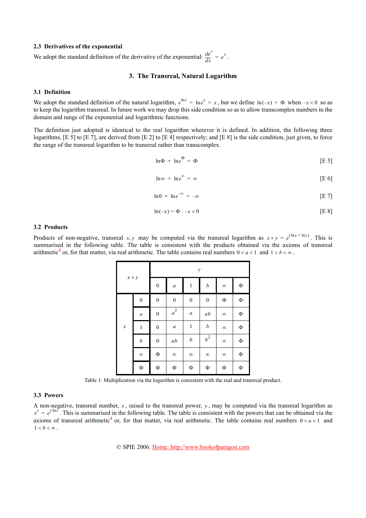## **2.3 Derivatives of the exponential**

We adopt the standard definition of the derivative of the exponential:  $\frac{de}{dx} = e^x$ .  $\frac{de^x}{e^x} = e^x$ 

## **3. The Transreal, Natural Logarithm**

## **3.1 Definition**

We adopt the standard definition of the natural logarithm,  $e^{\ln x} = \ln e^x = x$ , but we define  $\ln(-x) = \Phi$  when  $-x < 0$  so as to keep the logarithm transreal. In future work we may drop this side condition so as to allow transcomplex numbers in the domain and range of the exponential and logarithmic functions.

<span id="page-4-1"></span>The definition just adopted is identical to the real logarithm wherever it is defined. In addition, the following three logarithms, [\[E 5\]](#page-4-1) to [\[E 7\],](#page-4-2) are derived from [\[E 2\]](#page-3-2) to [\[E 4\]](#page-3-1) respectively; and [\[E 8\]](#page-4-0) is the side condition, just given, to force the range of the transreal logarithm to be transreal rather than transcomplex.

$$
\ln \Phi = \ln e^{\Phi} = \Phi \tag{E 5}
$$

$$
\ln \infty = \ln e^{\infty} = \infty
$$
 [E 6]

$$
\ln 0 = \ln e^{-\infty} = -\infty
$$
 [E 7]

$$
\ln(-x) = \Phi : -x < 0 \tag{E 8}
$$

## <span id="page-4-2"></span><span id="page-4-0"></span>**3.2 Products**

Products of non-negative, transreal x, y may be computed via the transreal logarithm as  $x \times y = e^{(\ln x + \ln y)}$ . This is summarised in the following table. The table is consistent with the products obtained via the axioms of transreal arithmetic<sup>[4](#page-12-1)</sup> or, for that matter, via real arithmetic. The table contains real numbers  $0 < a < 1$  and  $1 < b < \infty$ .

| $x \times y$     |                  | $\mathcal{Y}$    |                  |                  |                  |          |   |  |  |
|------------------|------------------|------------------|------------------|------------------|------------------|----------|---|--|--|
|                  |                  | $\boldsymbol{0}$ | $\boldsymbol{a}$ | $\,1$            | $\boldsymbol{b}$ | $\infty$ | Φ |  |  |
|                  | $\boldsymbol{0}$ | $\boldsymbol{0}$ | $\boldsymbol{0}$ | $\boldsymbol{0}$ | $\boldsymbol{0}$ | Φ        | Φ |  |  |
|                  | $\boldsymbol{a}$ | $\boldsymbol{0}$ | $a^2$            | $\boldsymbol{a}$ | ab               | $\infty$ | Φ |  |  |
| $\boldsymbol{x}$ | $\mathbf{1}$     | $\boldsymbol{0}$ | $\boldsymbol{a}$ | $\mathbf{1}$     | $\boldsymbol{b}$ | $\infty$ | Φ |  |  |
|                  | $\boldsymbol{b}$ | $\boldsymbol{0}$ | ab               | $\boldsymbol{b}$ | $b^2$            | $\infty$ | Φ |  |  |
|                  | $\infty$         | Φ                | $\infty$         | $\infty$         | $\infty$         | $\infty$ | Φ |  |  |
|                  | Ф                | Φ                | Φ                | Φ                | Φ                | Φ        | Φ |  |  |

Table 1: Multiplication via the logarithm is consistent with the real and transreal product.

#### <span id="page-4-3"></span>**3.3 Powers**

A non-negative, transreal number,  $x$ , raised to the transreal power,  $y$ , may be computed via the transreal logarithm as  $x^y = e^{y \ln x}$ . This is summarised in the following table. The table is consistent with the powers that can be obtained via the axioms of transreal arithmetic<sup>4</sup> or, for that matter, via real arithmetic. The table contains real numbers  $0 < a < 1$  and  $1 < b < \infty$ .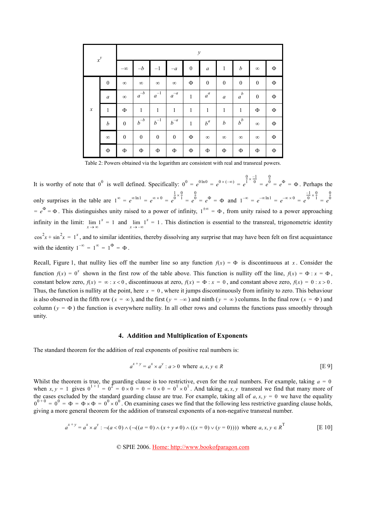| $x^y$            |                  | $\mathcal{Y}$    |                   |                  |                  |                  |                  |                  |                  |                  |   |
|------------------|------------------|------------------|-------------------|------------------|------------------|------------------|------------------|------------------|------------------|------------------|---|
|                  |                  | $-\infty$        | $-\boldsymbol{b}$ | $-1$             | $-a$             | $\boldsymbol{0}$ | $\boldsymbol{a}$ | $\mathbf{1}$     | $\boldsymbol{b}$ | $\infty$         | Ф |
|                  | $\boldsymbol{0}$ | $\infty$         | $\infty$          | $\infty$         | $\infty$         | Φ                | $\boldsymbol{0}$ | $\boldsymbol{0}$ | $\boldsymbol{0}$ | $\boldsymbol{0}$ | Φ |
|                  | $\boldsymbol{a}$ | $\infty$         | $a^{-b}$          | $a^{-1}$         | $a^{-a}$         | $\mathbf{1}$     | $a^a$            | $\boldsymbol{a}$ | $a^b$            | $\boldsymbol{0}$ | Φ |
| $\boldsymbol{x}$ | $\,1\,$          | Ф                | $\,1\,$           | $\mathbf{1}$     | $\,1$            | $\,1\,$          | $\,1\,$          | $\mathbf{1}$     | $\mathbf{1}$     | Φ                | Φ |
|                  | $\boldsymbol{b}$ | $\boldsymbol{0}$ | $b^{-b}$          | $b^{-1}$         | $b^{-a}$         | $\,1$            | $b^a$            | $\boldsymbol{b}$ | $b^b$            | $\infty$         | Φ |
|                  | $\infty$         | $\boldsymbol{0}$ | $\boldsymbol{0}$  | $\boldsymbol{0}$ | $\boldsymbol{0}$ | Φ                | $\infty$         | $\infty$         | $\infty$         | $\infty$         | Φ |
|                  | Φ                | Φ                | Φ                 | Φ                | Φ                | Φ                | Φ                | Φ                | Φ                | Φ                | Φ |

Table 2: Powers obtained via the logarithm are consistent with real and transreal powers.

It is worthy of note that  $0^0$  is well defined. Specifically:  $0^0 = e^{0 \ln 0} = e^{0 \times (-\infty)} = e^{1^{\infty} 0} = e^{0} = e^{\Phi} = \Phi$ . Perhaps the only surprises in the table are  $1^{\infty} = e^{\infty \ln 1} = e^{\infty \times 0} = e^{0^{\infty} 1} = e^0 = e^{\Phi} = \Phi$  and  $e^{i\phi} = e^{i\phi} = \Phi$ . This distinguishes unity raised to a power of infinity,  $1^{+\infty} = \Phi$ , from unity raised to a power approaching infinity in the limit:  $\lim_{} 1^x = 1$  and  $\lim_{} 1^x = 1$ . This distinction is essential to the transreal, trigonometric identity  $\cos^2 x + \sin^2 x = 1^x$ , and to similar identities, thereby dissolving any surprise that may have been felt on first acquaintance with the identity  $1^{-\infty} = 1^{\infty} = 1^{\Phi} = \Phi$ . 0  $\frac{0}{1} \times \frac{-1}{0} = e$ 0  $\frac{0}{0}$  $e^{0 \ln 0} = e^{0 \times (-\infty)} = e^{1 \wedge 0} = e^{0} = e^{\Phi} = \Phi$ 1  $\frac{1}{0} \times \frac{0}{1} = e$ 0  $\frac{0}{0}$  $e^{i\pi} = e^{i\pi}e^{i\pi} = e^{i\pi}e^{i\pi} = e^{i\pi} = e^{i\pi}e^{i\pi} = e^{i\pi}e^{i\pi} = e^{i\pi}e^{i\pi} = e^{i\pi}e^{i\pi} = e^{i\pi}e^{i\pi} = e^{i\pi}e^{i\pi} = e^{i\pi}e^{i\pi} = e^{i\pi}e^{i\pi} = e^{i\pi}e^{i\pi} = e^{i\pi}e^{i\pi} = e^{i\pi}e^{i\pi} = e^{i\pi}e^{i\pi} = e^{i\pi}e^{i\pi} = e^{i\pi}e^{i\pi$ –1  $\frac{-1}{0} \times \frac{0}{1} = e$ 0  $\frac{0}{0}$  $= e^{-\omega \ln 1} = e^{-\omega \times 0} = e^{-\omega \ln 1} =$  $\lim_{x \to \infty} 1^x = 1$  and  $\lim_{x \to -\infty} 1^x = 1$ 

Recall, [Figure 1](#page-1-0), that nullity lies off the number line so any function  $f(x) = \Phi$  is discontinuous at x. Consider the function  $f(x) = 0^x$  shown in the first row of the table above. This function is nullity off the line,  $f(x) = \Phi : x = \Phi$ , constant below zero,  $f(x) = \infty : x < 0$ , discontinuous at zero,  $f(x) = \Phi : x = 0$ , and constant above zero,  $f(x) = 0 : x > 0$ . Thus, the function is nullity at the point, here  $x = 0$ , where it jumps discontinuously from infinity to zero. This behaviour is also observed in the fifth row  $(x = \infty)$ , and the first  $(y = -\infty)$  and ninth  $(y = \infty)$  columns. In the final row  $(x = \Phi)$  and column  $(y = \Phi)$  the function is everywhere nullity. In all other rows and columns the functions pass smoothly through unity.

## **4. Addition and Multiplication of Exponents**

The standard theorem for the addition of real exponents of positive real numbers is:

$$
a^{x+y} = a^x \times a^y : a > 0 \text{ where } a, x, y \in R
$$
 [E 9]

Whilst the theorem is true, the guarding clause is too restrictive, even for the real numbers. For example, taking  $a = 0$ when  $x, y = 1$  gives  $0^{1+1} = 0^2 = 0 \times 0 = 0 = 0 \times 0 = 0^1 \times 0^1$ . And taking  $a, x, y$  transreal we find that many more of the cases excluded by the standard guarding clause are true. For example, taking all of  $a, x, y = 0$  we have the equality  $0^{0+0} = 0^0 = \Phi = \Phi \times \Phi = 0^0 \times 0^0$ . On examining cases we find that the following less restrictive guarding clause holds, giving a more general theorem for the addition of transreal exponents of a non-negative transreal number.

$$
a^{x+y} = a^x \times a^y : \neg(a < 0) \land (\neg((a = 0) \land (x + y \neq 0) \land ((x = 0) \lor (y = 0)))) \text{ where } a, x, y \in R^T
$$
 [E 10]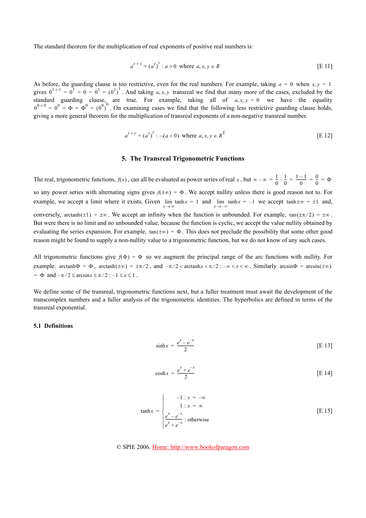The standard theorem for the multiplication of real exponents of positive real numbers is:

$$
a^{x \times y} = (a^x)^y : a > 0 \text{ where } a, x, y \in R
$$
 [E 11]

As before, the guarding clause is too restrictive, even for the real numbers. For example, taking  $a = 0$  when gives  $0^{1 \times 1} = 0^1 = 0 = 0^1 = (0^1)^1$ . And taking a, x, y transreal we find that many more of the cases, excluded by the standard guarding clause, are true. For example, taking all of  $a, x, y = 0$  we have the equality . On examining cases we find that the following less restrictive guarding clause holds, giving a more general theorem for the multiplication of transreal exponents of a non-negative transreal number.  $a = 0$  when  $x, y = 1$  $0^{1 \times 1} = 0^{1} = 0 = 0^{1} = (0^{1})^{1}$ . And taking *a, x, y*  $a, x, y = 0$  $0^{0 \times 0} = 0^{0} = \Phi = \Phi^0 = (0^{0})^0$ 

$$
a^{x \times y} = (a^x)^y : \neg (a < 0) \text{ where } a, x, y \in R^T
$$
 [E 12]

## **5. The Transreal Trigonometric Functions**

The real, trigonometric functions,  $f(x)$ , can all be evaluated as power series of real x, but  $\infty - \infty = \frac{1}{0} - \frac{1}{0} = \frac{1 - 1}{0} = \frac{0}{0} = \Phi$ so any power series with alternating signs gives  $f(\pm \infty) = \Phi$ . We accept nullity unless there is good reason not to. For example, we accept a limit where it exists. Given  $\lim_{x \to \infty} \tanh x = 1$  and  $\lim_{x \to -\infty} \tanh x = -1$  we accept  $\tanh \pm \infty = \pm 1$  and, conversely, arctanh( $\pm 1$ ) =  $\pm \infty$ . We accept an infinity when the function is unbounded. For example,  $tan(\pm \pi/2) = \pm \infty$ . But were there is no limit and no unbounded value, because the function is cyclic, we accept the value nullity obtained by evaluating the series expansion. For example,  $tan(\pm \infty) = \Phi$ . This does not preclude the possibility that some other good reason might be found to supply a non-nullity value to a trigonometric function, but we do not know of any such cases.

All trigonometric functions give  $f(\Phi) = \Phi$  so we augment the principal range of the arc functions with nullity. For example:  $\arctanh\Phi = \Phi$ ,  $\arctanh(\pm \infty) = \pm \pi/2$ ,  $\arctanh\pi/2 < \arctanh x < \pi/2$ :  $-\infty < x < \infty$ . Similarly  $\arcsin\Phi = \arcsin(\pm \infty)$  $= \Phi$  and  $-\pi/2 \le \arcsin x \le \pi/2$  :  $-1 \le x \le 1$ .

We define some of the transreal, trigonometric functions next, but a fuller treatment must await the development of the transcomplex numbers and a fuller analysis of the trigonometric identities. The hyperbolics are defined in terms of the transreal exponential.

#### **5.1 Definitions**

$$
sinh x = \frac{e^x - e^{-x}}{2} \tag{E 13}
$$

$$
\cosh x = \frac{e^x + e^{-x}}{2} \tag{E 14}
$$

$$
\tanh x = \begin{cases}\n-1: x = -\infty \\
1: x = \infty \\
\frac{e^x - e^{-x}}{e^x + e^{-x}}: \text{otherwise}\n\end{cases}
$$
\n[E 15]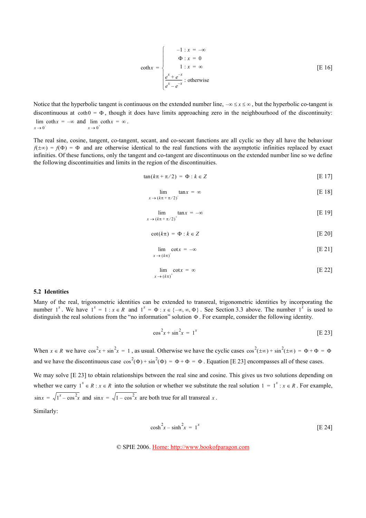$$
\coth x = \begin{cases}\n-1: x = -\infty \\
\Phi: x = 0 \\
1: x = \infty \\
\frac{e^x + e^{-x}}{e^x - e^{-x}}: \text{otherwise}\n\end{cases}
$$
[E 16]

Notice that the hyperbolic tangent is continuous on the extended number line,  $-\infty \le x \le \infty$ , but the hyperbolic co-tangent is discontinuous at  $\coth 0 = \Phi$ , though it does have limits approaching zero in the neighbourhood of the discontinuity:  $\lim \coth x = -\infty$  and  $\lim \coth x = \infty$ .  $x \rightarrow 0^$  $x \rightarrow 0^+$ 

The real sine, cosine, tangent, co-tangent, secant, and co-secant functions are all cyclic so they all have the behaviour  $f(\pm \infty) = f(\Phi) = \Phi$  and are otherwise identical to the real functions with the asymptotic infinities replaced by exact infinities. Of these functions, only the tangent and co-tangent are discontinuous on the extended number line so we define the following discontinuities and limits in the region of the discontinuities.

$$
\tan(k\pi + \pi/2) = \Phi : k \in \mathbb{Z}
$$
 [E 17]

$$
\lim_{x \to (k\pi + \pi/2)^{-}} \tan x = \infty
$$
 [E 18]

$$
\lim_{x \to (k\pi + \pi/2)^{+}} \tan x = -\infty
$$
 [E 19]

$$
\cot(k\pi) = \Phi : k \in \mathbb{Z} \tag{E.20}
$$

$$
\lim_{x \to (k\pi)^{-}} \cot x = -\infty
$$
 [E 21]

$$
\lim_{x \to (k\pi)^+} \cot x = \infty
$$
 [E 22]

#### **5.2 Identities**

Many of the real, trigonometric identities can be extended to transreal, trigonometric identities by incorporating the number 1<sup>x</sup>. We have  $1^x = 1 : x \in R$  and  $1^x = \Phi : x \in \{-\infty, \infty, \Phi\}$ . See Section [3.3](#page-4-3) above. The number  $1^x$  is used to distinguish the real solutions from the "no information" solution  $\Phi$ . For example, consider the following identity.

$$
\cos^2 x + \sin^2 x = 1^x \tag{E.23}
$$

<span id="page-7-0"></span>When  $x \in R$  we have  $\cos^2 x + \sin^2 x = 1$ , as usual. Otherwise we have the cyclic cases  $\cos^2(\pm \infty) + \sin^2(\pm \infty) = \Phi + \Phi = \Phi$ and we have the discontinuous case  $\cos^2(\Phi) + \sin^2(\Phi) = \Phi + \Phi = \Phi$ . Equation [\[E 23\]](#page-7-0) encompasses all of these cases. We may solve [\[E 23\]](#page-7-0) to obtain relationships between the real sine and cosine. This gives us two solutions depending on whether we carry  $1^x \in R$ :  $x \in R$  into the solution or whether we substitute the real solution  $1 = 1^x$ :  $x \in R$ . For example,  $\sin x = \sqrt{1^x - \cos^2 x}$  and  $\sin x = \sqrt{1 - \cos^2 x}$  are both true for all transreal x.

Similarly:

$$
\cosh^2 x - \sinh^2 x = 1^x \tag{E.24}
$$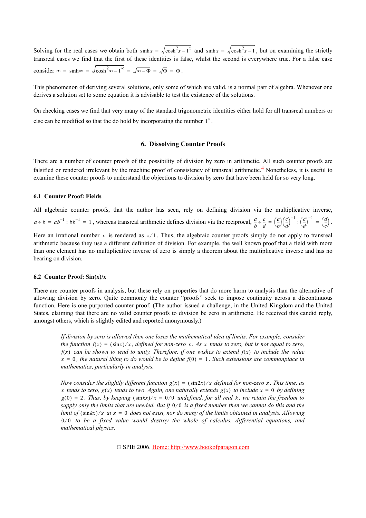Solving for the real cases we obtain both  $\sinh x = \sqrt{\cosh^2 x - 1^x}$  and  $\sinh x = \sqrt{\cosh^2 x - 1}$ , but on examining the strictly transreal cases we find that the first of these identities is false, whilst the second is everywhere true. For a false case consider  $\infty = \sinh \infty = \sqrt{\cosh^2 \infty - 1}$   $\infty = \sqrt{\infty - 1}$   $\infty = \sqrt{0} = 1$ .

This phenomenon of deriving several solutions, only some of which are valid, is a normal part of algebra. Whenever one derives a solution set to some equation it is advisable to test the existence of the solutions.

On checking cases we find that very many of the standard trigonometric identities either hold for all transreal numbers or else can be modified so that the do hold by incorporating the number  $1^x$ .

## **6. Dissolving Counter Proofs**

There are a number of counter proofs of the possibility of division by zero in arithmetic. All such counter proofs are falsified or rendered irrelevant by the machine proof of consistency of transreal arithmetic.<sup>[4](#page-12-1)</sup> Nonetheless, it is useful to examine these counter proofs to understand the objections to division by zero that have been held for so very long.

#### **6.1 Counter Proof: Fields**

All algebraic counter proofs, that the author has seen, rely on defining division via the multiplicative inverse,

 $a \div b = ab^{-1}$ :  $bb^{-1} = 1$ , whereas transreal arithmetic defines division via the reciprocal,  $\frac{a}{b} \div \frac{c}{d} = \left(\frac{a}{b}\right)\left(\frac{c}{d}\right)^{-1}$ :  $\left(\frac{c}{d}\right)^{-1} = \left(\frac{d}{c}\right)$ .

Here an irrational number x is rendered as  $x/1$ . Thus, the algebraic counter proofs simply do not apply to transreal arithmetic because they use a different definition of division. For example, the well known proof that a field with more than one element has no multiplicative inverse of zero is simply a theorem about the multiplicative inverse and has no bearing on division.

#### **6.2 Counter Proof: Sin(x)/x**

There are counter proofs in analysis, but these rely on properties that do more harm to analysis than the alternative of allowing division by zero. Quite commonly the counter "proofs" seek to impose continuity across a discontinuous function. Here is one purported counter proof. (The author issued a challenge, in the United Kingdom and the United States, claiming that there are no valid counter proofs to division be zero in arithmetic. He received this candid reply, amongst others, which is slightly edited and reported anonymously.)

*If division by zero is allowed then one loses the mathematical idea of limits. For example, consider the function*  $f(x) = (\sin x)/x$ , defined for non-zero x. As x tends to zero, but is not equal to zero,  $f(x)$  can be shown to tend to unity. Therefore, if one wishes to extend  $f(x)$  to include the value  $x = 0$ , the natural thing to do would be to define  $f(0) = 1$ . Such extensions are commonplace in *mathematics, particularly in analysis.*

*Now consider the slightly different function*  $g(x) = (\sin 2x) / x$  *<i>defined for non-zero x. This time, as x* tends to zero,  $g(x)$  tends to two. Again, one naturally extends  $g(x)$  to include  $x = 0$  by defining  $g(0) = 2$ . Thus, by keeping  $(\sin kx)/x = 0/0$  undefined, for all real k, we retain the freedom to supply only the limits that are needed. But if  $0/0$  is a fixed number then we cannot do this and the *limit of*  $(\sin kx)/x$  *at*  $x = 0$  *does not exist, nor do many of the limits obtained in analysis. Allowing* 0/0 to be a fixed value would destroy the whole of calculus, differential equations, and *mathematical physics.*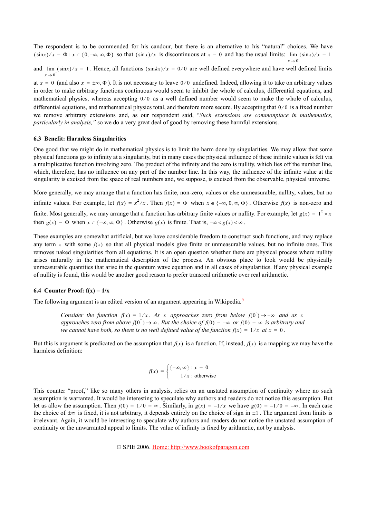The respondent is to be commended for his candour, but there is an alternative to his "natural" choices. We have  $(\sin x)/x = \Phi : x \in \{0, -\infty, \infty, \Phi\}$  so that  $(\sin x)/x$  is discontinuous at  $x = 0$  and has the usual limits:  $\lim_{x \to \infty} (\sin x)/x = 1$  $x \rightarrow 0^-$ 

and  $\lim_{x \to a} (\sin x)/x = 1$ . Hence, all functions  $(\sin kx)/x = 0/0$  are well defined everywhere and have well defined limits  $x \rightarrow 0^+$ 

at  $x = 0$  (and also  $x = \pm \infty$ ,  $\Phi$ ). It is not necessary to leave 0/0 undefined. Indeed, allowing it to take on arbitrary values in order to make arbitrary functions continuous would seem to inhibit the whole of calculus, differential equations, and mathematical physics, whereas accepting 0/0 as a well defined number would seem to make the whole of calculus, differential equations, and mathematical physics total, and therefore more secure. By accepting that  $0/0$  is a fixed number we remove arbitrary extensions and, as our respondent said, "*Such extensions are commonplace in mathematics, particularly in analysis,"* so we do a very great deal of good by removing these harmful extensions.

## **6.3 Benefit: Harmless Singularities**

One good that we might do in mathematical physics is to limit the harm done by singularities. We may allow that some physical functions go to infinity at a singularity, but in many cases the physical influence of these infinite values is felt via a multiplicative function involving zero. The product of the infinity and the zero is nullity, which lies off the number line, which, therefore, has no influence on any part of the number line. In this way, the influence of the infinite value at the singularity is excised from the space of real numbers and, we suppose, is excised from the observable, physical universe.

More generally, we may arrange that a function has finite, non-zero, values or else unmeasurable, nullity, values, but no infinite values. For example, let  $f(x) = x^2/x$ . Then  $f(x) = \Phi$  when  $x \in \{-\infty, 0, \infty, \Phi\}$ . Otherwise  $f(x)$  is non-zero and finite. Most generally, we may arrange that a function has arbitrary finite values or nullity. For example, let  $g(x) = 1^x \times x$ then  $g(x) = \Phi$  when  $x \in \{-\infty, \infty, \Phi\}$ . Otherwise  $g(x)$  is finite. That is,  $-\infty < g(x) < \infty$ .

These examples are somewhat artificial, but we have considerable freedom to construct such functions, and may replace any term x with some  $f(x)$  so that all physical models give finite or unmeasurable values, but no infinite ones. This removes naked singularities from all equations. It is an open question whether there are physical process where nullity arises naturally in the mathematical description of the process. An obvious place to look would be physically unmeasurable quantities that arise in the quantum wave equation and in all cases of singularities. If any physical example of nullity is found, this would be another good reason to prefer transreal arithmetic over real arithmetic.

#### **6.4 Counter Proof:**  $f(x) = 1/x$

The following argument is an edited version of an argument appearing in Wikipedia.<sup>[5](#page-12-4)</sup>

*Consider the function*  $f(x) = 1/x$ . As x approaches zero from below  $f(0) \rightarrow -\infty$  and as x *approaches zero from above*  $f(0^+) \to \infty$ . But the choice of  $f(0) = -\infty$  or  $f(0) = \infty$  is arbitrary and *we cannot have both, so there is no well defined value of the function*  $f(x) = 1/x$  *at*  $x = 0$ *.* 

But this is argument is predicated on the assumption that  $f(x)$  is a function. If, instead,  $f(x)$  is a mapping we may have the harmless definition:

$$
f(x) = \begin{cases} \{-\infty, \infty\} : x = 0 \\ 1/x : \text{otherwise} \end{cases}
$$

This counter "proof," like so many others in analysis, relies on an unstated assumption of continuity where no such assumption is warranted. It would be interesting to speculate why authors and readers do not notice this assumption. But let us allow the assumption. Then  $f(0) = 1/0 = \infty$ . Similarly, in  $g(x) = -1/x$  we have  $g(0) = -1/0 = -\infty$ . In each case the choice of  $\pm \infty$  is fixed, it is not arbitrary, it depends entirely on the choice of sign in  $\pm 1$ . The argument from limits is irrelevant. Again, it would be interesting to speculate why authors and readers do not notice the unstated assumption of continuity or the unwarranted appeal to limits. The value of infinity is fixed by arithmetic, not by analysis.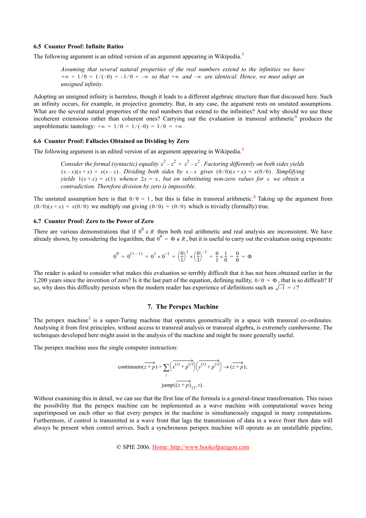#### **6.5 Counter Proof: Infinite Ratios**

The following argument is an edited version of an argument appearing in Wikipedia.<sup>[5](#page-12-4)</sup>

*Assuming that several natural properties of the real numbers extend to the infinities we have*  $+\infty = 1/0 = 1/(-0) = -1/0 = -\infty$  so that  $+\infty$  and  $-\infty$  are identical. Hence, we must adopt an *unsigned infinity.*

Adopting an unsigned infinity is harmless, though it leads to a different algebraic structure than that discussed here. Such an infinity occurs, for example, in projective geometry. But, in any case, the argument rests on unstated assumptions. What are the several natural properties of the real numbers that extend to the infinities? And why should we use these incoherent extensions rather than coherent ones? Carrying out the evaluation in transreal arithmetic<sup>4</sup> produces the unproblematic tautology:  $+\infty = 1/0 = 1/(-0) = 1/0 = +\infty$ .

## **6.6 Counter Proof: Fallacies Obtained on Dividing by Zero**

The following argument is an edited version of an argument appearing in Wikipedia.<sup>[5](#page-12-4)</sup>

*Consider the formal (syntactic) equality*  $x^2 - x^2 = x^2 - x^2$ . *Factoring differently on both sides yields*  $(x-x)(x+x) = x(x-x)$ . Dividing both sides by  $x-x$  gives  $(0/0)(x+x) = x(0/0)$ . Simplifying *yields*  $1(x+x) = x(1)$  *whence*  $2x = x$ *, but on substituting non-zero values for x we obtain a contradiction. Therefore division by zero is impossible.*

The unstated assumption here is that  $0/0 = 1$ , but this is false in transreal arithmetic.<sup>4</sup> Taking up the argument from  $(0/0)(x + x) = x(0/0)$  we multiply out giving  $(0/0) = (0/0)$  which is trivially (formally) true.

## **6.7 Counter Proof: Zero to the Power of Zero**

There are various demonstrations that if  $0^0 \in R$  then both real arithmetic and real analysis are inconsistent. We have already shown, by considering the logarithm, that  $0^0 = \Phi \notin R$ , but it is useful to carry out the evaluation using exponents:

$$
0^0 = 0^{(1-1)} = 0^1 \times 0^{-1} = \left(\frac{0}{1}\right)^1 \times \left(\frac{0}{1}\right)^{-1} = \frac{0}{1} \times \frac{1}{0} = \frac{0}{0} = \Phi
$$

The reader is asked to consider what makes this evaluation so terribly difficult that it has not been obtained earlier in the 1,200 years since the invention of zero? Is it the last part of the equation, defining nullity,  $0/0 = \Phi$ , that is so difficult? If so, why does this difficulty persists when the modern reader has experience of definitions such as  $\sqrt{-1} = i$ ?

#### **7. The Perspex Machine**

The perspex machine<sup>[3](#page-12-0)</sup> is a super-Turing machine that operates geometrically in a space with transreal co-ordinates. Analysing it from first principles, without access to transreal analysis or transreal algebra, is extremely cumbersome. The techniques developed here might assist in the analysis of the machine and might be more generally useful.

The perspex machine uses the single computer instruction:

$$
\text{continuum}(\overrightarrow{z+p}) + \sum_{i} \left( \overrightarrow{x^{(i)} + p^{(i)}} \right) \left( \overrightarrow{y^{(i)} + p^{(i)}} \right) \rightarrow (\overrightarrow{z+p});
$$
\n
$$
\text{jump}(\overrightarrow{z+p}_{11}, t).
$$

Without examining this in detail, we can see that the first line of the formula is a general-linear transformation. This raises the possibility that the perspex machine can be implemented as a wave machine with computational waves being superimposed on each other so that every perspex in the machine is simultaneously engaged in many computations. Furthermore, if control is transmitted in a wave front that lags the transmission of data in a wave front then data will always be present when control arrives. Such a synchronous perspex machine will operate as an unstallable pipeline,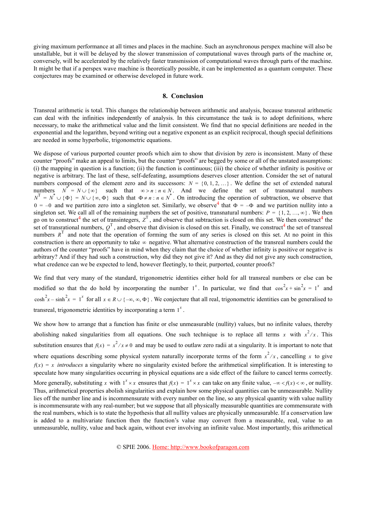giving maximum performance at all times and places in the machine. Such an asynchronous perspex machine will also be unstallable, but it will be delayed by the slower transmission of computational waves through parts of the machine or, conversely, will be accelerated by the relatively faster transmission of computational waves through parts of the machine. It might be that if a perspex wave machine is theoretically possible, it can be implemented as a quantum computer. These conjectures may be examined or otherwise developed in future work.

#### **8. Conclusion**

Transreal arithmetic is total. This changes the relationship between arithmetic and analysis, because transreal arithmetic can deal with the infinities independently of analysis. In this circumstance the task is to adopt definitions, where necessary, to make the arithmetical value and the limit consistent. We find that no special definitions are needed in the exponential and the logarithm, beyond writing out a negative exponent as an explicit reciprocal, though special definitions are needed in some hyperbolic, trigonometric equations.

We dispose of various purported counter proofs which aim to show that division by zero is inconsistent. Many of these counter "proofs" make an appeal to limits, but the counter "proofs" are begged by some or all of the unstated assumptions: (i) the mapping in question is a function; (ii) the function is continuous; (iii) the choice of whether infinity is positive or negative is arbitrary. The last of these, self-defeating, assumptions deserves closer attention. Consider the set of natural numbers composed of the element zero and its successors:  $N = \{0, 1, 2, ...\}$ . We define the set of extended natural numbers  $N = N \cup \{\infty\}$  such that  $\infty > n : n \in N$ . And we define the set of transnatural numbers such that  $\Phi \neq n : n \in \mathbb{N}$ . On introducing the operation of subtraction, we observe that  $0 = -0$  and we partition zero into a singleton set. Similarly, we observe<sup>[4](#page-12-1)</sup> that  $\Phi = -\Phi$  and we partition nullity into a singleton set. We call all of the remaining numbers the set of positive, transnatural numbers:  $P = \{1, 2, ..., \infty\}$ . We then go on to construct<sup>[4](#page-12-1)</sup> the set of transintegers,  $Z<sup>T</sup>$ , and observe that subtraction is closed on this set. We then construct<sup>4</sup> the set of transrational numbers,  $Q^T$ , and observe that division is closed on this set. Finally, we construct<sup>[4](#page-12-1)</sup> the set of transreal numbers  $R<sup>T</sup>$  and note that the operation of forming the sum of any series is closed on this set. At no point in this construction is there an opportunity to take  $\infty$  negative. What alternative construction of the transreal numbers could the authors of the counter "proofs" have in mind when they claim that the choice of whether infinity is positive or negative is arbitrary? And if they had such a construction, why did they not give it? And as they did not give any such construction, what credence can we be expected to lend, however fleetingly, to their, purported, counter proofs?  $N^* = N \cup \{ \infty \}$  such that  $\infty > n : n \in N$  $N^{T} = N^* \cup {\phi} = N \cup {\infty, \Phi}$  such that  $\Phi \neq n : n \in N^*$ 

We find that very many of the standard, trigonometric identities either hold for all transreal numbers or else can be modified so that the do hold by incorporating the number  $1^x$ . In particular, we find that  $\cos^2 x + \sin^2 x = 1^x$  and  $\cosh^2 x - \sinh^2 x = 1^x$  for all  $x \in R \cup \{-\infty, \infty, \Phi\}$ . We conjecture that all real, trigonometric identities can be generalised to transreal, trigonometric identities by incorporating a term  $1^x$ .

We show how to arrange that a function has finite or else unmeasurable (nullity) values, but no infinite values, thereby abolishing naked singularities from all equations. One such technique is to replace all terms x with  $x^2/x$ . This substitution ensures that  $f(x) = x^2/x \neq 0$  and may be used to outlaw zero radii at a singularity. It is important to note that where equations describing some physical system naturally incorporate terms of the form  $x^2/x$ , cancelling x to give  $f(x) = x$  *introduces* a singularity where no singularity existed before the arithmetical simplification. It is interesting to speculate how many singularities occurring in physical equations are a side effect of the failure to cancel terms correctly.

More generally, substituting x with  $1^x \times x$  ensures that  $f(x) = 1^x \times x$  can take on any finite value,  $-\infty < f(x) < \infty$ , or nullity. Thus, arithmetical properties abolish singularities and explain how some physical quantities can be unmeasurable. Nullity lies off the number line and is incommensurate with every number on the line, so any physical quantity with value nullity is incommensurate with any real-number; but we suppose that all physically measurable quantities are commensurate with the real numbers, which is to state the hypothesis that all nullity values are physically unmeasurable. If a conservation law is added to a multivariate function then the function's value may convert from a measurable, real, value to an unmeasurable, nullity, value and back again, without ever involving an infinite value. Most importantly, this arithmetical